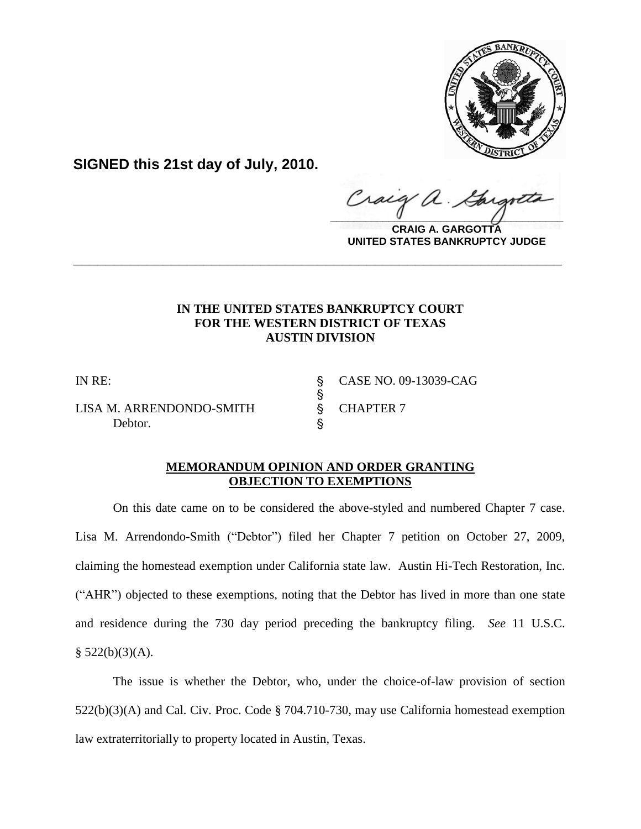

**SIGNED this 21st day of July, 2010.**

Craig  $\frac{1}{2}$ 

**CRAIG A. GARGOTTA UNITED STATES BANKRUPTCY JUDGE**

## **IN THE UNITED STATES BANKRUPTCY COURT FOR THE WESTERN DISTRICT OF TEXAS AUSTIN DIVISION**

**\_\_\_\_\_\_\_\_\_\_\_\_\_\_\_\_\_\_\_\_\_\_\_\_\_\_\_\_\_\_\_\_\_\_\_\_\_\_\_\_\_\_\_\_\_\_\_\_\_\_\_\_\_\_\_\_\_\_\_\_**

S<br>S

LISA M. ARRENDONDO-SMITH S CHAPTER 7 Debtor.

IN RE: ' CASE NO. 09-13039-CAG

## **MEMORANDUM OPINION AND ORDER GRANTING OBJECTION TO EXEMPTIONS**

On this date came on to be considered the above-styled and numbered Chapter 7 case. Lisa M. Arrendondo-Smith ("Debtor") filed her Chapter 7 petition on October 27, 2009, claiming the homestead exemption under California state law. Austin Hi-Tech Restoration, Inc. ("AHR") objected to these exemptions, noting that the Debtor has lived in more than one state and residence during the 730 day period preceding the bankruptcy filing. *See* 11 U.S.C.  $§$  522(b)(3)(A).

The issue is whether the Debtor, who, under the choice-of-law provision of section 522(b)(3)(A) and Cal. Civ. Proc. Code § 704.710-730, may use California homestead exemption law extraterritorially to property located in Austin, Texas.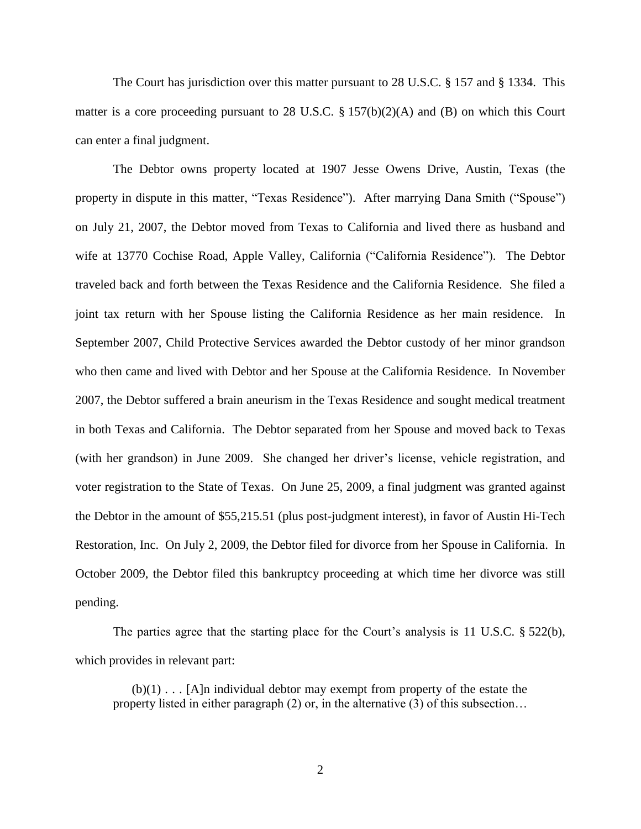The Court has jurisdiction over this matter pursuant to 28 U.S.C. § 157 and § 1334. This matter is a core proceeding pursuant to 28 U.S.C.  $\S 157(b)(2)(A)$  and (B) on which this Court can enter a final judgment.

The Debtor owns property located at 1907 Jesse Owens Drive, Austin, Texas (the property in dispute in this matter, "Texas Residence"). After marrying Dana Smith ("Spouse") on July 21, 2007, the Debtor moved from Texas to California and lived there as husband and wife at 13770 Cochise Road, Apple Valley, California ("California Residence"). The Debtor traveled back and forth between the Texas Residence and the California Residence. She filed a joint tax return with her Spouse listing the California Residence as her main residence. In September 2007, Child Protective Services awarded the Debtor custody of her minor grandson who then came and lived with Debtor and her Spouse at the California Residence. In November 2007, the Debtor suffered a brain aneurism in the Texas Residence and sought medical treatment in both Texas and California. The Debtor separated from her Spouse and moved back to Texas (with her grandson) in June 2009. She changed her driver's license, vehicle registration, and voter registration to the State of Texas. On June 25, 2009, a final judgment was granted against the Debtor in the amount of \$55,215.51 (plus post-judgment interest), in favor of Austin Hi-Tech Restoration, Inc. On July 2, 2009, the Debtor filed for divorce from her Spouse in California. In October 2009, the Debtor filed this bankruptcy proceeding at which time her divorce was still pending.

The parties agree that the starting place for the Court's analysis is 11 U.S.C. § 522(b), which provides in relevant part:

 $(b)(1)$ ... [A]n individual debtor may exempt from property of the estate the property listed in either paragraph (2) or, in the alternative (3) of this subsection…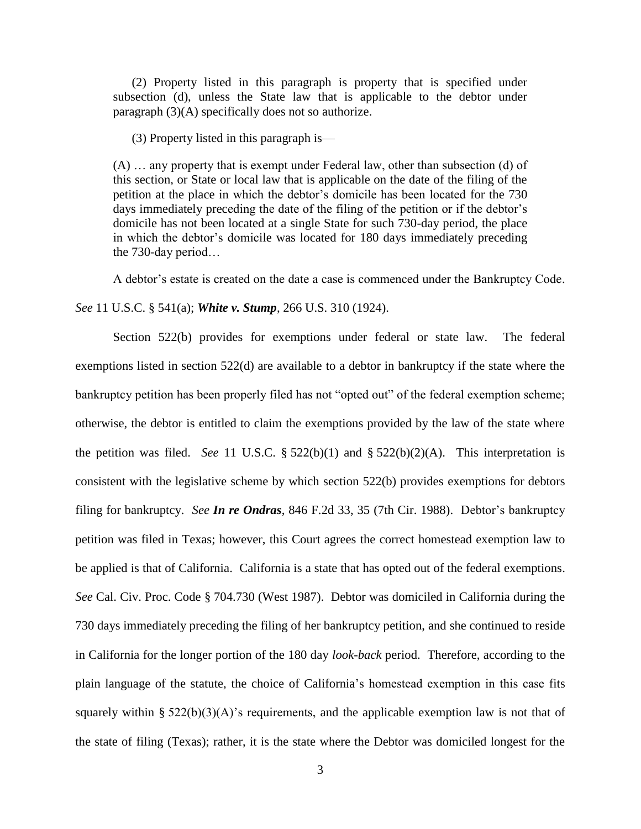(2) Property listed in this paragraph is property that is specified under subsection (d), unless the State law that is applicable to the debtor under paragraph (3)(A) specifically does not so authorize.

(3) Property listed in this paragraph is—

(A) … any property that is exempt under Federal law, other than subsection (d) of this section, or State or local law that is applicable on the date of the filing of the petition at the place in which the debtor's domicile has been located for the 730 days immediately preceding the date of the filing of the petition or if the debtor's domicile has not been located at a single State for such 730-day period, the place in which the debtor's domicile was located for 180 days immediately preceding the 730-day period…

A debtor's estate is created on the date a case is commenced under the Bankruptcy Code.

*See* 11 U.S.C. § 541(a); *White v. Stump*, 266 U.S. 310 (1924).

Section 522(b) provides for exemptions under federal or state law. The federal exemptions listed in section 522(d) are available to a debtor in bankruptcy if the state where the bankruptcy petition has been properly filed has not "opted out" of the federal exemption scheme; otherwise, the debtor is entitled to claim the exemptions provided by the law of the state where the petition was filed. *See* 11 U.S.C. § 522(b)(1) and § 522(b)(2)(A). This interpretation is consistent with the legislative scheme by which section 522(b) provides exemptions for debtors filing for bankruptcy. *See In re Ondras*, 846 F.2d 33, 35 (7th Cir. 1988). Debtor's bankruptcy petition was filed in Texas; however, this Court agrees the correct homestead exemption law to be applied is that of California. California is a state that has opted out of the federal exemptions. *See* Cal. Civ. Proc. Code § 704.730 (West 1987). Debtor was domiciled in California during the 730 days immediately preceding the filing of her bankruptcy petition, and she continued to reside in California for the longer portion of the 180 day *look-back* period. Therefore, according to the plain language of the statute, the choice of California's homestead exemption in this case fits squarely within §  $522(b)(3)(A)$ 's requirements, and the applicable exemption law is not that of the state of filing (Texas); rather, it is the state where the Debtor was domiciled longest for the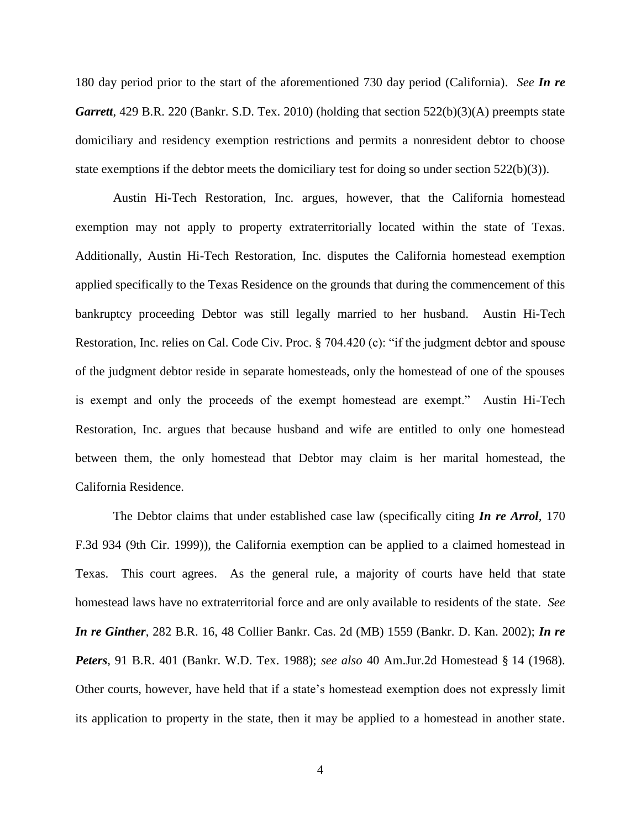180 day period prior to the start of the aforementioned 730 day period (California). *See In re Garrett*, 429 B.R. 220 (Bankr. S.D. Tex. 2010) (holding that section 522(b)(3)(A) preempts state domiciliary and residency exemption restrictions and permits a nonresident debtor to choose state exemptions if the debtor meets the domiciliary test for doing so under section  $522(b)(3)$ ).

Austin Hi-Tech Restoration, Inc. argues, however, that the California homestead exemption may not apply to property extraterritorially located within the state of Texas. Additionally, Austin Hi-Tech Restoration, Inc. disputes the California homestead exemption applied specifically to the Texas Residence on the grounds that during the commencement of this bankruptcy proceeding Debtor was still legally married to her husband. Austin Hi-Tech Restoration, Inc. relies on Cal. Code Civ. Proc. § 704.420 (c): "if the judgment debtor and spouse of the judgment debtor reside in separate homesteads, only the homestead of one of the spouses is exempt and only the proceeds of the exempt homestead are exempt." Austin Hi-Tech Restoration, Inc. argues that because husband and wife are entitled to only one homestead between them, the only homestead that Debtor may claim is her marital homestead, the California Residence.

The Debtor claims that under established case law (specifically citing *In re Arrol*, 170 F.3d 934 (9th Cir. 1999)), the California exemption can be applied to a claimed homestead in Texas. This court agrees. As the general rule, a majority of courts have held that state homestead laws have no extraterritorial force and are only available to residents of the state. *See In re Ginther*, 282 B.R. 16, 48 Collier Bankr. Cas. 2d (MB) 1559 (Bankr. D. Kan. 2002); *In re Peters*, 91 B.R. 401 (Bankr. W.D. Tex. 1988); *see also* 40 Am.Jur.2d Homestead § 14 (1968). Other courts, however, have held that if a state's homestead exemption does not expressly limit its application to property in the state, then it may be applied to a homestead in another state.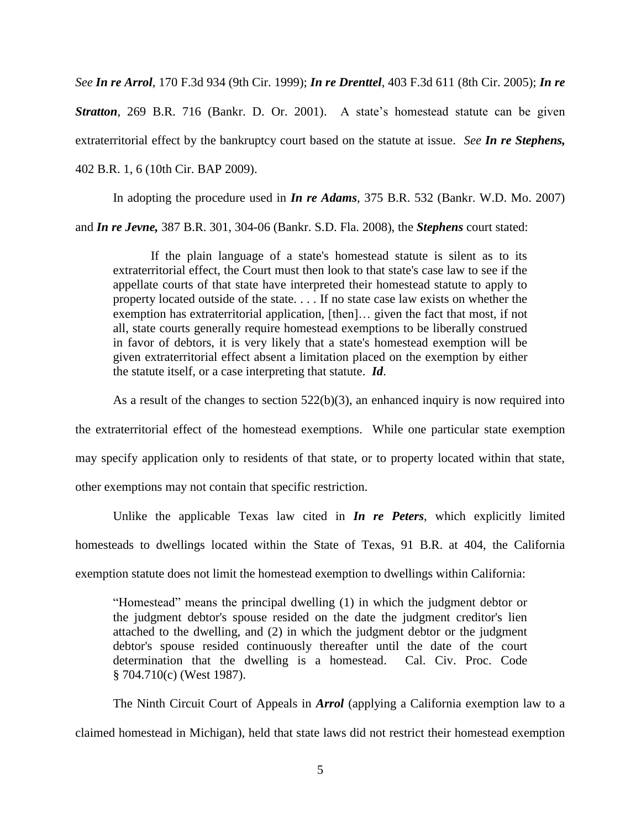*See In re Arrol*, 170 F.3d 934 (9th Cir. 1999); *In re Drenttel*, 403 F.3d 611 (8th Cir. 2005); *In re Stratton*, 269 B.R. 716 (Bankr. D. Or. 2001). A state's homestead statute can be given extraterritorial effect by the bankruptcy court based on the statute at issue. *See In re Stephens,* 402 B.R. 1, 6 (10th Cir. BAP 2009).

In adopting the procedure used in *In re Adams*, 375 B.R. 532 (Bankr. W.D. Mo. 2007) and *In re Jevne,* 387 B.R. 301, 304-06 (Bankr. S.D. Fla. 2008), the *Stephens* court stated:

If the plain language of a state's homestead statute is silent as to its extraterritorial effect, the Court must then look to that state's case law to see if the appellate courts of that state have interpreted their homestead statute to apply to property located outside of the state. . . . If no state case law exists on whether the exemption has extraterritorial application, [then]… given the fact that most, if not all, state courts generally require homestead exemptions to be liberally construed in favor of debtors, it is very likely that a state's homestead exemption will be given extraterritorial effect absent a limitation placed on the exemption by either the statute itself, or a case interpreting that statute. *Id*.

As a result of the changes to section 522(b)(3), an enhanced inquiry is now required into

the extraterritorial effect of the homestead exemptions. While one particular state exemption may specify application only to residents of that state, or to property located within that state, other exemptions may not contain that specific restriction.

Unlike the applicable Texas law cited in *In re Peters*, which explicitly limited homesteads to dwellings located within the State of Texas, 91 B.R. at 404, the California exemption statute does not limit the homestead exemption to dwellings within California:

"Homestead" means the principal dwelling (1) in which the judgment debtor or the judgment debtor's spouse resided on the date the judgment creditor's lien attached to the dwelling, and (2) in which the judgment debtor or the judgment debtor's spouse resided continuously thereafter until the date of the court determination that the dwelling is a homestead. Cal. Civ. Proc. Code § 704.710(c) (West 1987).

The Ninth Circuit Court of Appeals in *Arrol* (applying a California exemption law to a claimed homestead in Michigan), held that state laws did not restrict their homestead exemption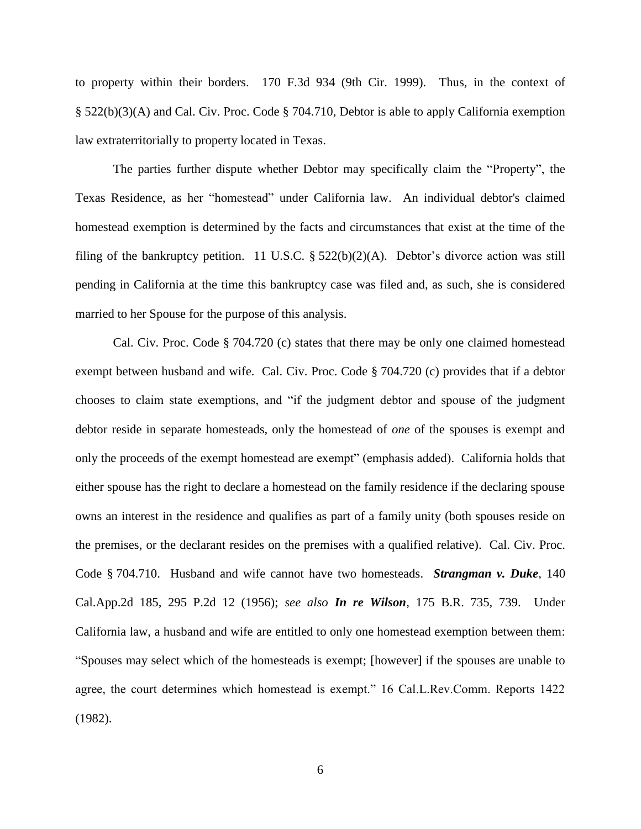to property within their borders. 170 F.3d 934 (9th Cir. 1999). Thus, in the context of § 522(b)(3)(A) and Cal. Civ. Proc. Code § 704.710, Debtor is able to apply California exemption law extraterritorially to property located in Texas.

The parties further dispute whether Debtor may specifically claim the "Property", the Texas Residence, as her "homestead" under California law. An individual debtor's claimed homestead exemption is determined by the facts and circumstances that exist at the time of the filing of the bankruptcy petition. 11 U.S.C.  $\S$  522(b)(2)(A). Debtor's divorce action was still pending in California at the time this bankruptcy case was filed and, as such, she is considered married to her Spouse for the purpose of this analysis.

Cal. Civ. Proc. Code § 704.720 (c) states that there may be only one claimed homestead exempt between husband and wife. Cal. Civ. Proc. Code § 704.720 (c) provides that if a debtor chooses to claim state exemptions, and "if the judgment debtor and spouse of the judgment debtor reside in separate homesteads, only the homestead of *one* of the spouses is exempt and only the proceeds of the exempt homestead are exempt" (emphasis added). California holds that either spouse has the right to declare a homestead on the family residence if the declaring spouse owns an interest in the residence and qualifies as part of a family unity (both spouses reside on the premises, or the declarant resides on the premises with a qualified relative). Cal. Civ. Proc. Code § 704.710. Husband and wife cannot have two homesteads. *Strangman v. Duke*, 140 Cal.App.2d 185, 295 P.2d 12 (1956); *see also In re Wilson*, 175 B.R. 735, 739. Under California law, a husband and wife are entitled to only one homestead exemption between them: "Spouses may select which of the homesteads is exempt; [however] if the spouses are unable to agree, the court determines which homestead is exempt." 16 Cal.L.Rev.Comm. Reports 1422 (1982).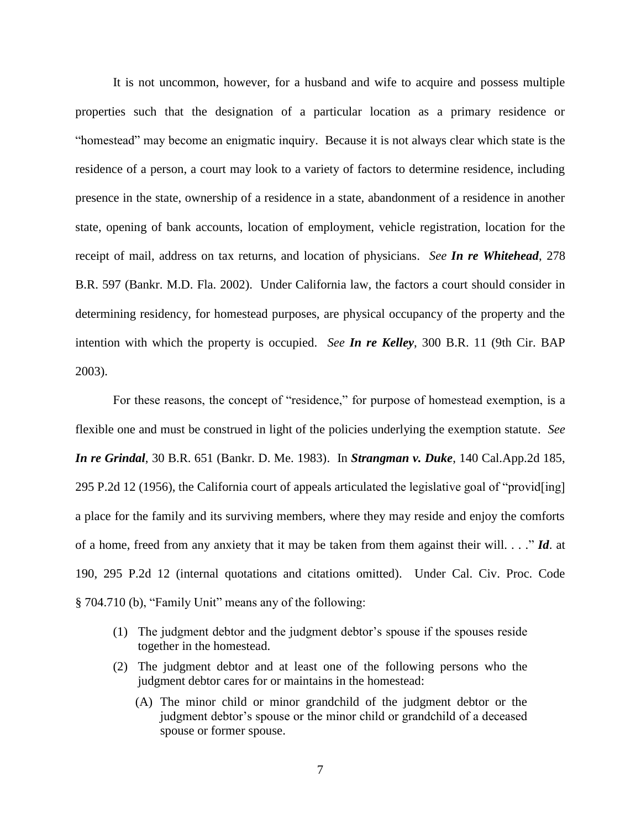It is not uncommon, however, for a husband and wife to acquire and possess multiple properties such that the designation of a particular location as a primary residence or "homestead" may become an enigmatic inquiry. Because it is not always clear which state is the residence of a person, a court may look to a variety of factors to determine residence, including presence in the state, ownership of a residence in a state, abandonment of a residence in another state, opening of bank accounts, location of employment, vehicle registration, location for the receipt of mail, address on tax returns, and location of physicians. *See In re Whitehead*, 278 B.R. 597 (Bankr. M.D. Fla. 2002). Under California law, the factors a court should consider in determining residency, for homestead purposes, are physical occupancy of the property and the intention with which the property is occupied. *See In re Kelley*, 300 B.R. 11 (9th Cir. BAP 2003).

For these reasons, the concept of "residence," for purpose of homestead exemption, is a flexible one and must be construed in light of the policies underlying the exemption statute. *See In re Grindal*, 30 B.R. 651 (Bankr. D. Me. 1983). In *Strangman v. Duke*, 140 Cal.App.2d 185, 295 P.2d 12 (1956), the California court of appeals articulated the legislative goal of "provid[ing] a place for the family and its surviving members, where they may reside and enjoy the comforts of a home, freed from any anxiety that it may be taken from them against their will. . . ." *Id*. at 190, 295 P.2d 12 (internal quotations and citations omitted). Under Cal. Civ. Proc. Code § 704.710 (b), "Family Unit" means any of the following:

- (1) The judgment debtor and the judgment debtor's spouse if the spouses reside together in the homestead.
- (2) The judgment debtor and at least one of the following persons who the judgment debtor cares for or maintains in the homestead:
	- (A) The minor child or minor grandchild of the judgment debtor or the judgment debtor's spouse or the minor child or grandchild of a deceased spouse or former spouse.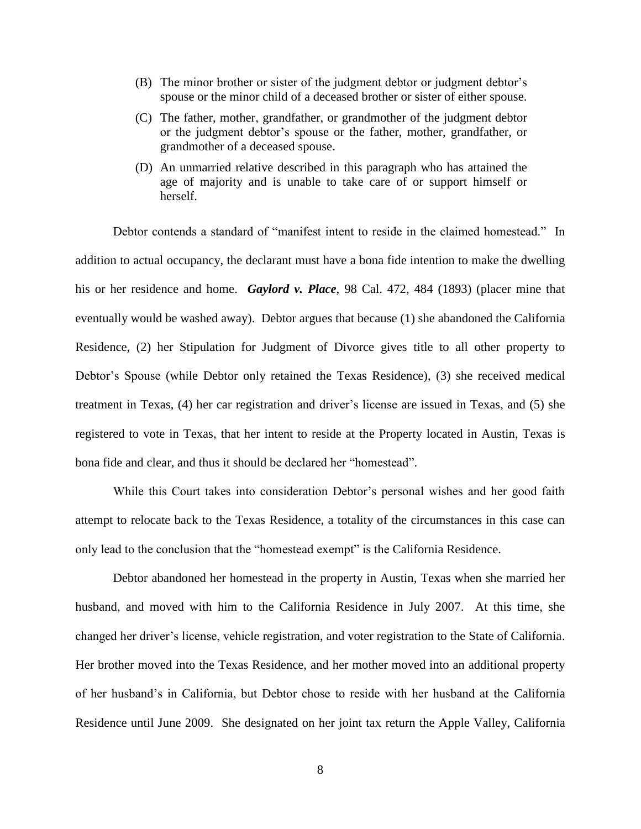- (B) The minor brother or sister of the judgment debtor or judgment debtor's spouse or the minor child of a deceased brother or sister of either spouse.
- (C) The father, mother, grandfather, or grandmother of the judgment debtor or the judgment debtor's spouse or the father, mother, grandfather, or grandmother of a deceased spouse.
- (D) An unmarried relative described in this paragraph who has attained the age of majority and is unable to take care of or support himself or herself.

Debtor contends a standard of "manifest intent to reside in the claimed homestead." In addition to actual occupancy, the declarant must have a bona fide intention to make the dwelling his or her residence and home. *Gaylord v. Place*, 98 Cal. 472, 484 (1893) (placer mine that eventually would be washed away). Debtor argues that because (1) she abandoned the California Residence, (2) her Stipulation for Judgment of Divorce gives title to all other property to Debtor's Spouse (while Debtor only retained the Texas Residence), (3) she received medical treatment in Texas, (4) her car registration and driver's license are issued in Texas, and (5) she registered to vote in Texas, that her intent to reside at the Property located in Austin, Texas is bona fide and clear, and thus it should be declared her "homestead".

While this Court takes into consideration Debtor's personal wishes and her good faith attempt to relocate back to the Texas Residence, a totality of the circumstances in this case can only lead to the conclusion that the "homestead exempt" is the California Residence.

Debtor abandoned her homestead in the property in Austin, Texas when she married her husband, and moved with him to the California Residence in July 2007. At this time, she changed her driver's license, vehicle registration, and voter registration to the State of California. Her brother moved into the Texas Residence, and her mother moved into an additional property of her husband's in California, but Debtor chose to reside with her husband at the California Residence until June 2009. She designated on her joint tax return the Apple Valley, California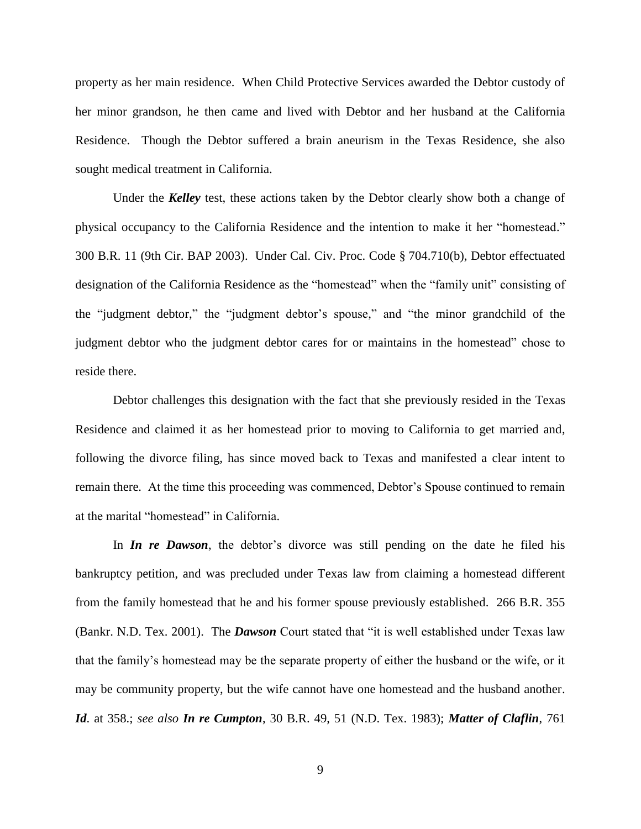property as her main residence. When Child Protective Services awarded the Debtor custody of her minor grandson, he then came and lived with Debtor and her husband at the California Residence. Though the Debtor suffered a brain aneurism in the Texas Residence, she also sought medical treatment in California.

Under the *Kelley* test, these actions taken by the Debtor clearly show both a change of physical occupancy to the California Residence and the intention to make it her "homestead." 300 B.R. 11 (9th Cir. BAP 2003). Under Cal. Civ. Proc. Code § 704.710(b), Debtor effectuated designation of the California Residence as the "homestead" when the "family unit" consisting of the "judgment debtor," the "judgment debtor's spouse," and "the minor grandchild of the judgment debtor who the judgment debtor cares for or maintains in the homestead" chose to reside there.

Debtor challenges this designation with the fact that she previously resided in the Texas Residence and claimed it as her homestead prior to moving to California to get married and, following the divorce filing, has since moved back to Texas and manifested a clear intent to remain there. At the time this proceeding was commenced, Debtor's Spouse continued to remain at the marital "homestead" in California.

In *In re Dawson*, the debtor's divorce was still pending on the date he filed his bankruptcy petition, and was precluded under Texas law from claiming a homestead different from the family homestead that he and his former spouse previously established. 266 B.R. 355 (Bankr. N.D. Tex. 2001). The *Dawson* Court stated that "it is well established under Texas law that the family's homestead may be the separate property of either the husband or the wife, or it may be community property, but the wife cannot have one homestead and the husband another. *Id*. at 358.; *see also In re Cumpton*, 30 B.R. 49, 51 (N.D. Tex. 1983); *Matter of Claflin*, 761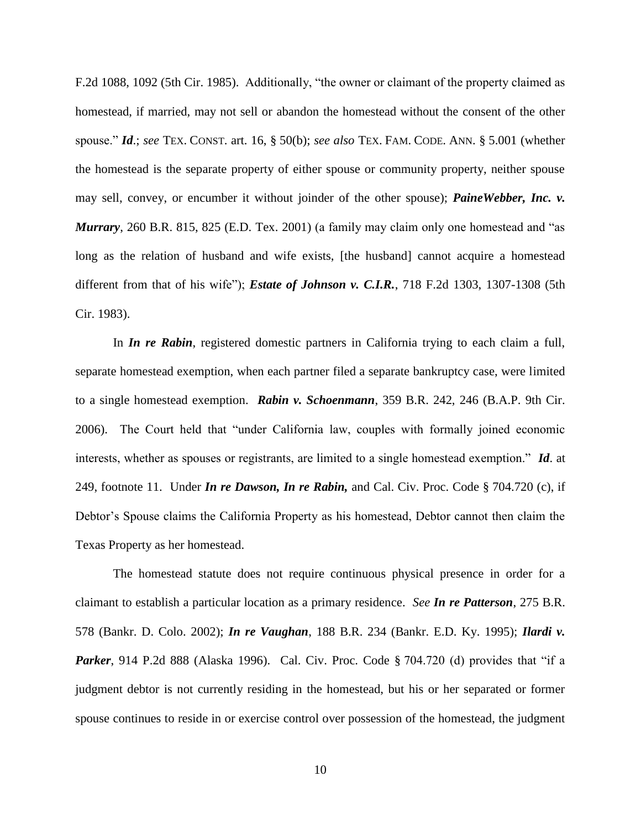F.2d 1088, 1092 (5th Cir. 1985). Additionally, "the owner or claimant of the property claimed as homestead, if married, may not sell or abandon the homestead without the consent of the other spouse." *Id*.; *see* TEX. CONST. art. 16, § 50(b); *see also* TEX. FAM. CODE. ANN. § 5.001 (whether the homestead is the separate property of either spouse or community property, neither spouse may sell, convey, or encumber it without joinder of the other spouse); *PaineWebber, Inc. v. Murrary*, 260 B.R. 815, 825 (E.D. Tex. 2001) (a family may claim only one homestead and "as long as the relation of husband and wife exists, [the husband] cannot acquire a homestead different from that of his wife"); *Estate of Johnson v. C.I.R.*, 718 F.2d 1303, 1307-1308 (5th Cir. 1983).

In *In re Rabin*, registered domestic partners in California trying to each claim a full, separate homestead exemption, when each partner filed a separate bankruptcy case, were limited to a single homestead exemption. *Rabin v. Schoenmann*, 359 B.R. 242, 246 (B.A.P. 9th Cir. 2006). The Court held that "under California law, couples with formally joined economic interests, whether as spouses or registrants, are limited to a single homestead exemption." *Id*. at 249, footnote 11. Under *In re Dawson, In re Rabin,* and Cal. Civ. Proc. Code § 704.720 (c), if Debtor's Spouse claims the California Property as his homestead, Debtor cannot then claim the Texas Property as her homestead.

The homestead statute does not require continuous physical presence in order for a claimant to establish a particular location as a primary residence. *See In re Patterson*, 275 B.R. 578 (Bankr. D. Colo. 2002); *In re Vaughan*, 188 B.R. 234 (Bankr. E.D. Ky. 1995); *Ilardi v.*  **Parker**, 914 P.2d 888 (Alaska 1996). Cal. Civ. Proc. Code § 704.720 (d) provides that "if a judgment debtor is not currently residing in the homestead, but his or her separated or former spouse continues to reside in or exercise control over possession of the homestead, the judgment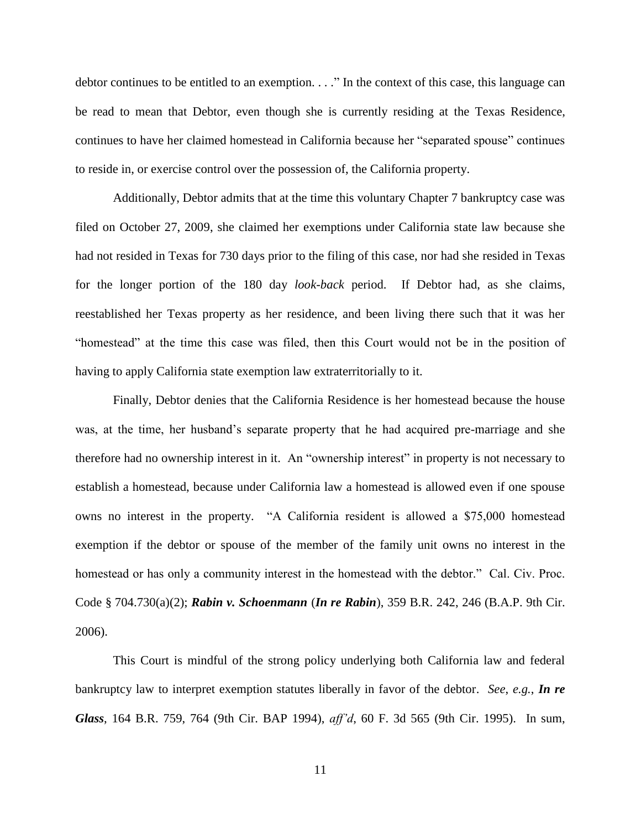debtor continues to be entitled to an exemption. . . ." In the context of this case, this language can be read to mean that Debtor, even though she is currently residing at the Texas Residence, continues to have her claimed homestead in California because her "separated spouse" continues to reside in, or exercise control over the possession of, the California property.

Additionally, Debtor admits that at the time this voluntary Chapter 7 bankruptcy case was filed on October 27, 2009, she claimed her exemptions under California state law because she had not resided in Texas for 730 days prior to the filing of this case, nor had she resided in Texas for the longer portion of the 180 day *look-back* period. If Debtor had, as she claims, reestablished her Texas property as her residence, and been living there such that it was her "homestead" at the time this case was filed, then this Court would not be in the position of having to apply California state exemption law extraterritorially to it.

Finally, Debtor denies that the California Residence is her homestead because the house was, at the time, her husband's separate property that he had acquired pre-marriage and she therefore had no ownership interest in it. An "ownership interest" in property is not necessary to establish a homestead, because under California law a homestead is allowed even if one spouse owns no interest in the property. "A California resident is allowed a \$75,000 homestead exemption if the debtor or spouse of the member of the family unit owns no interest in the homestead or has only a community interest in the homestead with the debtor." Cal. Civ. Proc. Code § 704.730(a)(2); *Rabin v. Schoenmann* (*In re Rabin*), 359 B.R. 242, 246 (B.A.P. 9th Cir. 2006).

This Court is mindful of the strong policy underlying both California law and federal bankruptcy law to interpret exemption statutes liberally in favor of the debtor. *See*, *e.g.*, *In re Glass*, 164 B.R. 759, 764 (9th Cir. BAP 1994), *aff'd*, 60 F. 3d 565 (9th Cir. 1995). In sum,

11